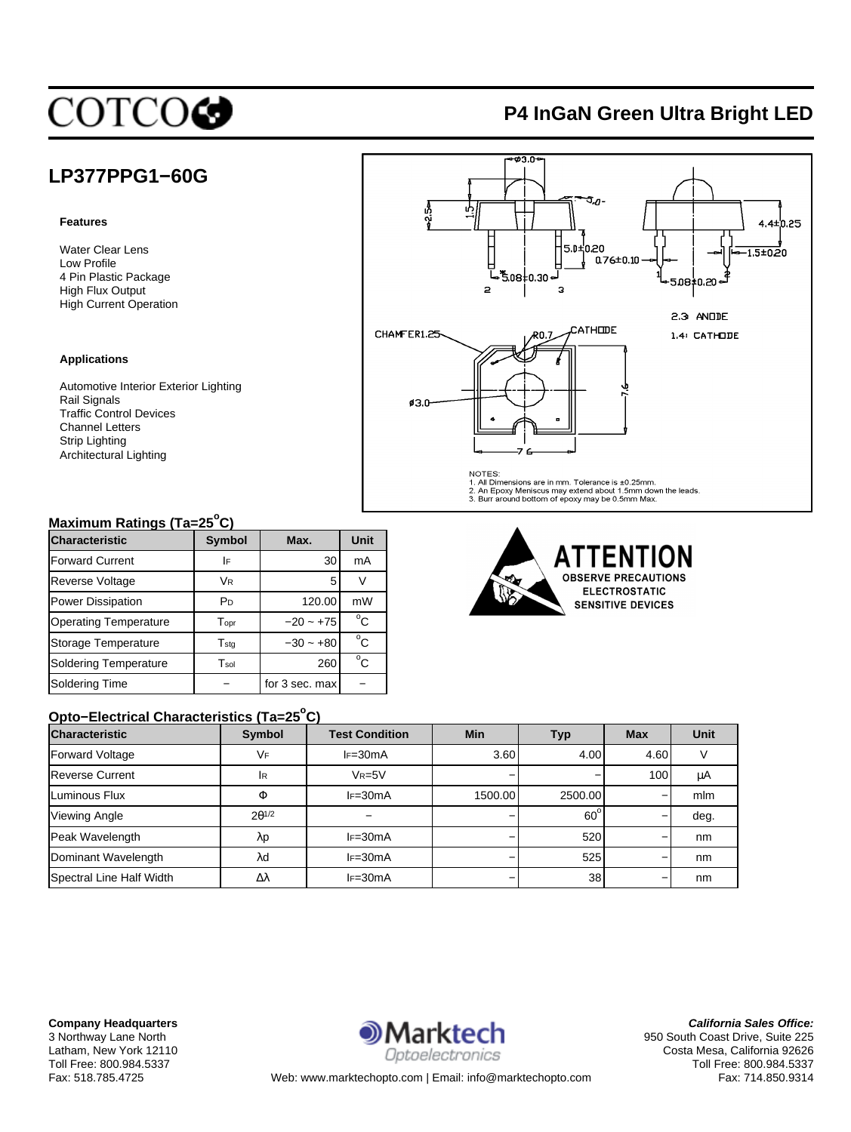# **COTCOG**

## **P4 InGaN Green Ultra Bright LED**

## **LP377PPG1−60G**

#### **Features**

Water Clear Lens Low Profile 4 Pin Plastic Package High Flux Output High Current Operation

#### **Applications**

Automotive Interior Exterior Lighting Rail Signals Traffic Control Devices Channel Letters Strip Lighting Architectural Lighting

### **Maximum Ratings (Ta=25<sup>o</sup> C)**

| <b>Characteristic</b>        | <b>Symbol</b>               | Max.           | Unit |
|------------------------------|-----------------------------|----------------|------|
| <b>Forward Current</b>       | I۴                          | 30             | mA   |
| <b>Reverse Voltage</b>       | Vr.                         | 5              |      |
| <b>Power Dissipation</b>     | PD                          | 120.00         | mW   |
| <b>Operating Temperature</b> | $\mathsf{T}_{\mathsf{opt}}$ | $-20 - +75$    | °C.  |
| Storage Temperature          | $T_{\text{std}}$            | $-30 - +80$    | °C   |
| <b>Soldering Temperature</b> | $T_{sol}$                   | 260            | °C.  |
| Soldering Time               |                             | for 3 sec. max |      |

### **Opto−Electrical Characteristics (Ta=25<sup>o</sup> C)**

| <b>Characteristic</b>    | Symbol          | <b>Test Condition</b> | Min     | Typ          | <b>Max</b> | <b>Unit</b> |
|--------------------------|-----------------|-----------------------|---------|--------------|------------|-------------|
| <b>Forward Voltage</b>   | VF              | $I = 30mA$            | 3.60    | 4.00         | 4.60       |             |
| <b>Reverse Current</b>   | <b>IR</b>       | $V_R = 5V$            |         |              | 100        | μA          |
| Luminous Flux            | Ф               | $IF = 30mA$           | 1500.00 | 2500.00      |            | mlm         |
| <b>Viewing Angle</b>     | $2\theta^{1/2}$ |                       |         | $60^{\circ}$ |            | deg.        |
| Peak Wavelength          | λp              | $IF = 30mA$           |         | 520          |            | nm          |
| Dominant Wavelength      | λd              | $IF = 30mA$           |         | 525          |            | nm          |
| Spectral Line Half Width | Δλ              | $IF = 30mA$           |         | 38           |            | nm          |



**California Sales Office:** 950 South Coast Drive, Suite 225 Costa Mesa, California 92626 Toll Free: 800.984.5337 Fax: 714.850.9314



 $-23.0$ 

AILENI **ION OBSERVE PRECAUTIONS ELECTROSTATIC SENSITIVE DEVICES** 

Web: www.marktechopto.com | Email: info@marktechopto.com